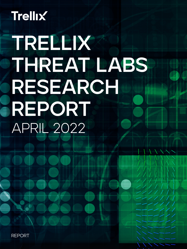# **Trellix**

# TRELLIX THREAT LABS RESEARCH REPORT APRIL 2022

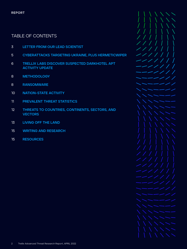# TABLE OF CONTENTS

- **LETTER FROM OUR LEAD SCIENTIST**
- **CYBERATTACKS TARGETING UKRAINE, PLUS HERMETICWIPER**
- **TRELLIX LABS DISCOVER SUSPECTED DARKHOTEL APT ACTIVITY UPDATE**
- **METHODOLOGY**
- **RANSOMWARE**
- **NATION-STATE ACTIVITY**
- [1](#page-14-0) **PREVALENT THREAT STATISTICS**
- [2](#page-14-0) **THREATS TO COUNTRIES, CONTINENTS, SECTORS, AND VECTORS**
- **LIVING OFF THE LAND**
- **WRITING AND RESEARCH**
- **RESOURCES**

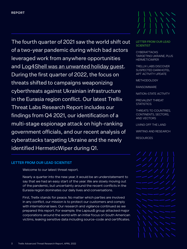<span id="page-2-0"></span>The fourth quarter of 2021 saw the world shift out of a two-year pandemic during which bad actors leveraged work from anywhere opportunities and [Log4Shell was an unwanted holiday guest](https://www.trellix.com/en-us/about/newsroom/stories/threat-labs/log4shell-vulnerability-is-the-coal-in-our-stocking-for-2021.html). During the first quarter of 2022, the focus on threats shifted to campaigns weaponizing cyberthreats against Ukrainian infrastructure in the Eurasia region conflict. Our latest Trellix Threat Labs Research Report includes our findings from Q4 2021, our identification of a multi-stage espionage attack on high-ranking government officials, and our recent analysis of cyberattacks targeting Ukraine and the newly identified HermeticWiper during Q1.

# LETTER FROM OUR LEAD **SCIENTIST**

**CYBERATTACKS** [TARGETING UKRAINE, PLUS](#page-4-0)  **HERMETICWIPER** 

[TRELLIX LABS DISCOVER](#page-5-0)  [SUSPECTED DARKHOTEL](#page-5-0)  [APT ACTIVITY UPDATE](#page-5-0)

[METHODOLOGY](#page-7-0)

[RANSOMWARE](#page-7-0)

[NATION-STATE ACTIVITY](#page-9-0)

PREVALEN[T THREAT](#page-10-0)  **STATISTICS** 

[THREATS TO COUNTRIES,](#page-11-0)  [CONTINENTS, SECTORS,](#page-11-0)  [AND VECTORS](#page-11-0)

[LIVING OFF THE LAND](#page-12-0)

[WRITING AND RESEARCH](#page-14-0)

**[RESOURCES](#page-14-0)** 

# **LETTER FROM OUR LEAD SCIENTIST**

Welcome to our latest threat report.

Nearly a quarter into the new year, it would be an understatement to say that we had an easy start of the year. We are slowly moving out of the pandemic, but uncertainty around the recent conflicts in the Eurasia region dominates our daily lives and conversations.

First, Trellix stands for peace. No matter which parties are involved in any conflict, our mission is to protect our customers and comply with international laws. Our research and vigilance continued as we prepared this report. For example, the Lapsus\$ group attacked major corporations around the world with an initial focus on South American victims, leaking sensitive data including source-code and certificates.

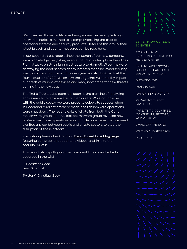We observed those certificates being abused. An example to sign malware binaries, a method to attempt bypassing the trust of operating systems and security products. Details of this group, their latest breach and countermeasures can be read [here.](https://www.trellix.com/en-us/about/newsroom/stories/threat-labs/lapsus-data-breaches-and-proactive-protections.html)

In our second threat report since the launch of our new company, we acknowledge the (cyber) events that dominated global headlines. From attacks on Ukrainian infrastructure to HermeticWiper malware destroying the boot sectors of any infected machine, cybersecurity was top of mind for many in the new year. We also look back at the fourth quarter of 2021, which saw the Log4shell vulnerability impact hundreds of millions of devices and many now brace for new threats coming in the new year.

The Trellix Threat Labs team has been at the frontline of analyzing and researching ransomware for many years. Working together with the public sector, we were proud to celebrate success when in December 2021 arrests were made and ransomware operations were shut down. The recent leaks of chats from both the Conti ransomware group and the Trickbot malware group revealed how professional these operations are run. It demonstrates that we need a united answer between public and private sectors to stop the disruption of these attacks.

In addition, please check out our **[Trellix Threat Labs blog page](https://www.trellix.com/en-us/about/newsroom/stories/threat-labs.html)** featuring our latest threat content, videos, and links to the security bulletin.

This report also spotlights other prevalent threats and attacks observed in the wild.

*— Christiaan Beek*  Lead Scientist

Twitter [@ChristiaanBeek](https://twitter.com/christiaanbeek)



# [LETTER FROM OUR LEAD](#page-2-0)  **[SCIENTIST](#page-2-0)**

**CYBERATTACKS** [TARGETING UKRAINE, PLUS](#page-4-0)  **HERMETICWIPER** 

[TRELLIX LABS DISCOVER](#page-5-0)  [SUSPECTED DARKHOTEL](#page-5-0)  [APT ACTIVITY UPDATE](#page-5-0)

[METHODOLOGY](#page-7-0)

[RANSOMWARE](#page-7-0)

[NATION-STATE ACTIVITY](#page-9-0)

PREVALEN[T THREAT](#page-10-0)  **STATISTICS** 

[THREATS TO COUNTRIES,](#page-11-0)  [CONTINENTS, SECTORS,](#page-11-0)  [AND VECTORS](#page-11-0)

[LIVING OFF THE LAND](#page-12-0)

[WRITING AND RESEARCH](#page-14-0)

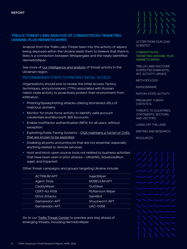# <span id="page-4-0"></span>**TRELLIX THREAT LABS ANALYSIS OF CYBERATTACKS TARGETING UKRAINE, PLUS HERMETICWIPER**

Analysis from the Trellix Labs Threat team into the activity of wipers being deployed within the Ukraine leads them to believe that there is likely is a connection between Whispergate and the newly identified HermeticWiper.

See more of [our intelligence and analysis](https://www.trellix.com/en-us/about/newsroom/stories/threat-labs/defenders-blog-on-cyberattacks-targeting-ukraine.html) of threat activity in the Ukrainian region.

# RECOMMENDED STEPS TO PREVENT INITIAL ACCESS

Organizations should look to review the Initial Access Tactics, techniques, and procedures (TTPs) associated with Russian nation state activity to proactively protect their environment from infiltration.

- **•** Phishing/Spearphishing attacks utilizing shortened URLs of malicious domains.
- **Monitor for brute force activity to identify valid account** credentials and Microsoft 365 Accounts.
- **Enable multifactor authentication (MFA) for all users, without** exception.
- **Exploiting Public Facing Systems CISA maintains a full list of CVEs** [that are known to be exploited.](https://www.cisa.gov/known-exploited-vulnerabilities-catalog)
- **Disabling all ports and protocols that are not essential, especially** anything related to remote services.
- **Hunt and block open-source tools not related to business activities** that have been seen in prior attacks – UltraVNC, AdvancedRun, wget, and impacket.

Other threat campaigns and groups targeting Ukraine include:

| <b>ACTINIUM APT</b> | <b>IsaacWiper</b>     |
|---------------------|-----------------------|
| <b>Agent Tesla</b>  | <b>NOBELIUM APT</b>   |
| CaddyWiper          | OutSteel              |
| <b>CERT-AU 4109</b> | <b>RURansom Wiper</b> |
| <b>DDoS Attacks</b> | SaintBot              |
| Gamaredon APT       | <b>Shuckworm APT</b>  |
| Gamaredon APT       | <b>UAC-0056</b>       |

Go to our [Trellix Threat Center](https://www.trellix.com/en-us/threat-center.html) to preview and stay ahead of emerging threats, including HermeticWiper.



[LETTER FROM OUR LEAD](#page-2-0)  **[SCIENTIST](#page-2-0)** 

**CYBERATTACKS** TARGETING UKRAINE, PLUS **HERMETICWIPER** 

[TRELLIX LABS DISCOVER](#page-5-0)  [SUSPECTED DARKHOTEL](#page-5-0)  [APT ACTIVITY UPDATE](#page-5-0)

[METHODOLOGY](#page-7-0)

[RANSOMWARE](#page-7-0)

[NATION-STATE ACTIVITY](#page-9-0)

PREVALEN[T THREAT](#page-10-0)  **STATISTICS** 

[THREATS TO COUNTRIES,](#page-11-0)  [CONTINENTS, SECTORS,](#page-11-0)  [AND VECTORS](#page-11-0)

[LIVING OFF THE LAND](#page-12-0)

[WRITING AND RESEARCH](#page-14-0)

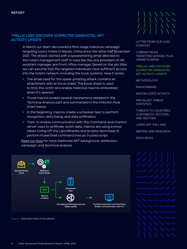# <span id="page-5-0"></span>**TRELLIX LABS DISCOVER SUSPECTED DARKHOTEL APT ACTIVITY UPDATE**

In March our team discovered a first-stage malicious campaign targeting luxury hotels in Macao, China since the latter half November 2021. The attack started with a spearphishing email directed to the hotel's management staff in roles like the vice president of HR, assistant manager, and front office manager. Based on the job titles we can assume that the targeted individuals have sufficient access into the hotel's network, including the book systems. How it works:

- **The email used for this spear-phishing attack contains an** attachment with an Excel sheet. The Excel sheet is used to trick the victim and enable malicious macros embedded when it's opened.
- **Those macros enable several mechanisms detailed in the** Technical Analysis part and summarized in the Infection Flow Chart below.
- **In the beginning, macros create a schedule task to perform** recognition, data listing, and data exfiltration.
- **Then, to enable communication with the Command-and-Control** server used to exfiltrate victim data, macros are using a know lolbas (Living Off the Land Binaries and Scripts) technique to perform PowerShell command lines as trusted script.

[Read our blog](https://www.trellix.com/en-us/about/newsroom/stories/threat-labs/suspected-darkhotel-apt-activity-update.html) for more DarkHotel APT background, attribution, campaign, and technical analysis.



[LETTER FROM OUR LEAD](#page-2-0)  **[SCIENTIST](#page-2-0)** 

**CYBERATTACKS** [TARGETING UKRAINE, PLUS](#page-4-0)  **HERMETICWIPER** 

TRELLIX LABS DISCOVER SUSPECTED DARKHOTEL APT ACTIVITY UPDATE

[METHODOLOGY](#page-7-0)

[RANSOMWARE](#page-7-0)

[NATION-STATE ACTIVITY](#page-9-0)

PREVALEN[T THREAT](#page-10-0)  **STATISTICS** 

[THREATS TO COUNTRIES,](#page-11-0)  [CONTINENTS, SECTORS,](#page-11-0)  [AND VECTORS](#page-11-0)

[LIVING OFF THE LAND](#page-12-0)

[WRITING AND RESEARCH](#page-14-0)

[RESOURCES](#page-14-0)



Figure 1. Execution flow of the attack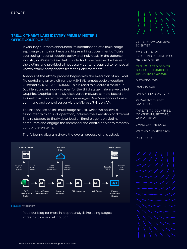# **TRELLIX THREAT LABS IDENTIFY PRIME MINISTER'S OFFICE COMPROMISE**

In January our team announced its identification of a multi-stage espionage campaign targeting high-ranking government officials overseeing national security policy and individuals in the defense industry in Western Asia. Trellix undertook pre-release disclosure to the victims and provided all necessary content required to remove all known attack components from their environments.

Analysis of the attack process begins with the execution of an Excel file containing an exploit for the MSHTML remote code execution vulnerability (CVE-2021-40444). This is used to execute a malicious DLL file acting as a downloader for the third stage malware we called Graphite. Graphite is a newly discovered malware sample based on a One-Drive Empire Stager which leverages OneDrive accounts as a command and control server via the Microsoft Graph API.

The last phases of this multi-stage attack, which we believe is associated with an APT operation, includes the execution of different Empire stagers to finally download an Empire agent on victims' computers and engage the command and control server to remotely control the systems.



[LETTER FROM OUR LEAD](#page-2-0)  **[SCIENTIST](#page-2-0)** 

**CYBERATTACKS** [TARGETING UKRAINE, PLUS](#page-4-0)  **HERMETICWIPER** 

[TRELLIX LABS DISCOVER](#page-5-0)  [SUSPECTED DARKHOTEL](#page-5-0)  [APT ACTIVITY UPDATE](#page-5-0)

[METHODOLOGY](#page-7-0)

[RANSOMWARE](#page-7-0)

[NATION-STATE ACTIVITY](#page-9-0)

PREVALEN[T THREAT](#page-10-0)  **STATISTICS** 

[THREATS TO COUNTRIES,](#page-11-0)  [CONTINENTS, SECTORS,](#page-11-0)  [AND VECTORS](#page-11-0)

[LIVING OFF THE LAND](#page-12-0)

[WRITING AND RESEARCH](#page-14-0)

[RESOURCES](#page-14-0)



Figure 2. Attack flow

[Read our blog](https://www.trellix.com/en-us/about/newsroom/stories/threat-labs/prime-ministers-office-compromised.html) for more in-depth analysis including stages, infrastructure, and attribution.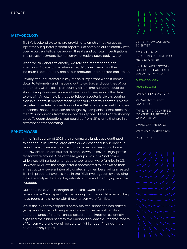# <span id="page-7-0"></span>**METHODOLOGY**

Trellix's backend systems are providing telemetry that we use as input for our quarterly threat reports. We combine our telemetry with open-source intelligence around threats and our own investigations into prevalent threats like ransomware, nation-state activity, etc.

When we talk about telemetry, we talk about detections, not infections. A detection is when a file, URL, IP-address, or other indicator is detected by one of our products and reported back to us.

Privacy of our customers is key. It also is important when it comes down to telemetry and mapping out to sectors and countries of our customers. Client-base per country differs and numbers could be showcasing increases while we have to look deeper into the data to explain. An example is that the Telecom sector is always scoring high in our data. It doesn't mean necessarily that this sector is highly targeted. The Telecom sector contains ISP providers as well that own IP-address spaces that can be bought by companies. What does that mean? Submissions from the ip-address space of the ISP are showing up as Telecom detections, but could be from ISP clients that are in a different sector operating.

# **RANSOMWARE**

In the final quarter of 2021, the ransomware landscape continued to change. In lieu of the large attacks we described in our previous report, ransomware actors had to find a new [underground home](https://www.trellix.com/en-us/about/newsroom/stories/threat-labs/how-groove-gang-is-shaking-up-the-ransomware-as-a-service-market-to-empower-affiliates.html) and law enforcement started to crack down on several high-profile ransomware groups. One of these groups was REvil/Sodinokibi, which was still ranked amongst the top ransomware families in Q3. However REvil left the stage after a coordinated takedown of their infrastructure, several internal disputes and [members being arrested](https://www.europol.europa.eu/media-press/newsroom/news/five-affiliates-to-sodinokibi/revil-unplugged). Trellix is proud to have assisted in the REvil investigation by providing malware analysis, locating key infrastructure, and identifying multiple suspects.

Our top 3 in Q4 2021 belonged to Lockbit, Cuba, and Conti ransomware. We suspect that remaining members of REvil most likely have found a new home with these ransomware families.

While the ink for this report is barely dry, the landscape has shifted yet again. Conti, which has grown to one of the largest families, had thousands of internal chats leaked on the internet, essentially exposing their inner secrets. We dubbed this leak the Panama Papers of Ransomware and we will be sure to highlight our findings in the next quarterly report.



[LETTER FROM OUR LEAD](#page-2-0)  **[SCIENTIST](#page-2-0)** 

**CYBERATTACKS** [TARGETING UKRAINE, PLUS](#page-4-0)  **HERMETICWIPER** 

[TRELLIX LABS DISCOVER](#page-5-0)  [SUSPECTED DARKHOTEL](#page-5-0)  [APT ACTIVITY UPDATE](#page-5-0)

**METHODOLOGY** 

RANSOMWARE

[NATION-STATE ACTIVITY](#page-9-0)

PREVALEN[T THREAT](#page-10-0)  **STATISTICS** 

[THREATS TO COUNTRIES,](#page-11-0)  [CONTINENTS, SECTORS,](#page-11-0)  [AND VECTORS](#page-11-0)

[LIVING OFF THE LAND](#page-12-0)

[WRITING AND RESEARCH](#page-14-0)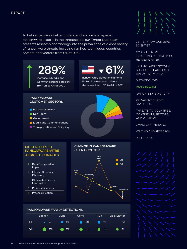To help enterprises better understand and defend against ransomware attacks in the threatscape, our Threat Labs team presents research and findings into the prevalence of a wide variety of ransomware threats, including families, techniques, countries, sectors, and vectors from Q4 of 2021.







[LETTER FROM OUR LEAD](#page-2-0)  **[SCIENTIST](#page-2-0)** 

**CYBERATTACKS** [TARGETING UKRAINE, PLUS](#page-4-0)  **HERMETICWIPER** 

9 Trellix Advanced Threat Research Report, APRIL 2022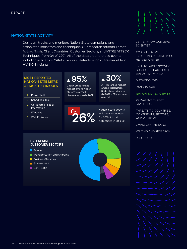# <span id="page-9-0"></span>**NATION-STATE ACTIVITY**

Our team tracks and monitors Nation-State campaigns and associated indicators and techniques. Our research reflects Threat Actors, Tools, Client Countries, Customer Sectors, and MITRE ATT&CK Techniques from Q4 of 2021. All of the data around these events, including indicators, YARA rules, and detection logic, are available in MVISION Insights.

# **MOST REPORTED MOST REPORTED 12 95% ATT&CK TECHNIQUES**

- 1. PowerShell
- 2. Scheduled Task
- 3. Obfuscated Files or Information
- 4. Windows
- 5. Web Protocols

Cobalt Strike ranked highest among Nation-State Threat Tool observations in Q4 2021.

# APT 29 ranked highest **30%**

among total Nation-State observations in Q4 2021, a 35% increase over Q3.

**26%**

Nation-State activity in Turkey accounted for 26% of total detections in Q4 2021. [LETTER FROM OUR LEAD](#page-2-0)  **[SCIENTIST](#page-2-0)** 

**CYBERATTACKS** [TARGETING UKRAINE, PLUS](#page-4-0)  **HERMETICWIPER** 

[TRELLIX LABS DISCOVER](#page-5-0)  [SUSPECTED DARKHOTEL](#page-5-0)  [APT ACTIVITY UPDATE](#page-5-0)

[METHODOLOGY](#page-7-0)

[RANSOMWARE](#page-7-0)

NATION-STATE ACTIVITY

PREVALEN[T THREAT](#page-10-0)  **STATISTICS** 

[THREATS TO COUNTRIES,](#page-11-0)  [CONTINENTS, SECTORS,](#page-11-0)  [AND VECTORS](#page-11-0)

[LIVING OFF THE LAND](#page-12-0)

[WRITING AND RESEARCH](#page-14-0)

**[RESOURCES](#page-14-0)** 



### **ENTERPRISE CUSTOMER SECTORS**

- Telecom
- **Transportation and Shipping**
- **Business Services**
- **Government**
- **Non-Profit**

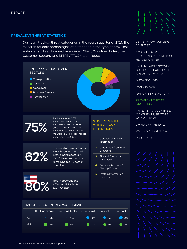# <span id="page-10-0"></span>**PREVALENT THREAT STATISTICS**

Our team tracked threat categories in the fourth quarter of 2021. The research reflects percentages of detections in the type of prevalent Malware families observed, associated Client Countries, Enterprise Customer Sectors, and MITRE ATT&CK techniques.



[LETTER FROM OUR LEAD](#page-2-0)  **[SCIENTIST](#page-2-0)** 

**CYBERATTACKS** [TARGETING UKRAINE, PLUS](#page-4-0)  **HERMETICWIPER** 

[TRELLIX LABS DISCOVER](#page-5-0)  [SUSPECTED DARKHOTEL](#page-5-0)  [APT ACTIVITY UPDATE](#page-5-0)

[METHODOLOGY](#page-7-0)

[RANSOMWARE](#page-7-0)

[NATION-STATE ACTIVITY](#page-9-0)

PREVALENT THREAT **STATISTICS** 

[THREATS TO COUNTRIES,](#page-11-0)  [CONTINENTS, SECTORS,](#page-11-0)  [AND VECTORS](#page-11-0)

[LIVING OFF THE LAND](#page-12-0)

[WRITING AND RESEARCH](#page-14-0)

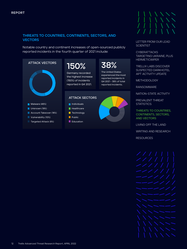# <span id="page-11-0"></span>**THREATS TO COUNTRIES, CONTINENTS, SECTORS, AND VECTORS**

Notable country and continent increases of open-sourced publicly reported incidents in the fourth quarter of 2021 include:



[WRITING AND RESEARCH](#page-14-0)

[LETTER FROM OUR LEAD](#page-2-0) 

**[SCIENTIST](#page-2-0)** 

**CYBERATTACKS**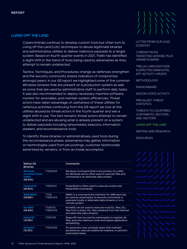# <span id="page-12-0"></span>**LIVING OFF THE LAND**

Cybercriminals continue to develop custom tools but often turn to Living off the Land (LotL) techniques to abuse legitimate binaries and administrative utilities to deliver malicious payloads to a target system. Based on fourth quarter events in 2021, Trellix has identified a slight shift in the trend of tools being used by adversaries as they attempt to remain undetected.

Tactics, Techniques, and Procedures change as defenses strengthen and the security community shares indicators of compromise amongst peers. In our Q3 report we highlighted some of the common Windows binaries that are present on a production system as well as some that are used by administrative staff to perform daily tasks. It was also recommended to deploy necessary machine software, monitor for anomalies, and maintain system efficiencies. Threat actors have taken advantage of usefulness of these utilities for nefarious activities continuing from the Q3 report we look at the utilities abused by threat actors in the fourth quarter and see a slight shift in use. The fact remains: threat actors attempt to remain undetected and are abusing what is already present on a system to deliver payloads including ransomware, beacons, information stealers, and reconnaissance tools.

To identify these binaries or administratively used tools during the reconnaissance phase, adversaries may gather information on technologies used from job postings, customer testimonials advertised by vendors, or from an inside accomplice.



[LETTER FROM OUR LEAD](#page-2-0)  **[SCIENTIST](#page-2-0)** 

**CYBERATTACKS** [TARGETING UKRAINE, PLUS](#page-4-0)  **HERMETICWIPER** 

[TRELLIX LABS DISCOVER](#page-5-0)  [SUSPECTED DARKHOTEL](#page-5-0)  [APT ACTIVITY UPDATE](#page-5-0)

[METHODOLOGY](#page-7-0)

[RANSOMWARE](#page-7-0)

[NATION-STATE ACTIVITY](#page-9-0)

PREVALEN[T THREAT](#page-10-0)  **STATISTICS** 

[THREATS TO COUNTRIES,](#page-11-0)  [CONTINENTS, SECTORS,](#page-11-0)  [AND VECTORS](#page-11-0)

LIVING OFF THE LAND

[WRITING AND RESEARCH](#page-14-0)

[RESOURCES](#page-14-0)

**Native OS Binaries Comments Windows Command Shell (CMD) (53.44%)** T1059.003 Windows Command Shell is the primary CLI utility for Windows and is often used to execute files and commands in an alternate data stream. **Powershell (43.92%)** T1059.001 PowerShell is often used to execute scripts and PowerShell commands. **WMI/WMIC (33.86%)**  T1218, T1564.004 WMIC is a command line interface for WMI and may be used by adversaries to execute commands or payloads locally, in alternate data streams or on a remote system. **Rundll32 (24.34%)**  T1218.011, T1564.004 Rundll32 can be used to execute local DLL files, DLL files from a share, DLL files obtained from the internet and alternate data streams. **Regsvr32 (14.29%)**  T1218.010 Regsvr32 may be used by adversaries to register dll files, execute malicious code and bypass application whitelisting. **Schtasks (12.70%)**  T1053.005 An adversary may schedule tasks that maintain persistence, execute additional malware, or perform automated tasks.

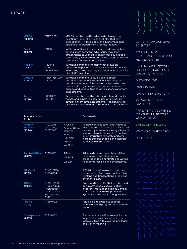| <b>MSHTA</b><br>(10.05%) | T1218.005                       | MSHTA may be used by adversaries to execute<br>JavaScript, JScript and VBScript files that may<br>be hidden in HTA files locally and in alternate data<br>streams or retrieved from a remote location.                                                                           |
|--------------------------|---------------------------------|----------------------------------------------------------------------------------------------------------------------------------------------------------------------------------------------------------------------------------------------------------------------------------|
| <b>Excel</b><br>(8.99%)  | T1105                           | While not natively installed, many systems contain<br>spread sheet software, adversaries may send<br>attachments to user that contain malicious code or<br>scripts that, when executed, may be used to retrieve<br>payloads from a remote location.                              |
| Net.exe<br>(7.94%)       | T1087 &<br>$Sub-$<br>techniques | Windows command line utility that allows an<br>adversary to perform reconnaissance tasks such as<br>identifying users, network, and services functionality<br>of a victim machine.                                                                                               |
| Certutil<br>(4.23%)      | T1105, 1564.004<br>T1027        | Windows command utility is used to obtain<br>certificate authority information and configure<br>certificate services. Alternatively, adversaries may<br>use certutil to gather remote tools and content,<br>encode and decode files as well as access alternate<br>data streams. |
| Reg.exe<br>(3.70%)       | 1003.002,<br>1564.004           | Reg.exe may be used by adversaries to add, modify,<br>delete, and export registry values which may be<br>saved to alternative data streams. Additionally, reg.<br>exe may be used to dump credentials from a SAM file.                                                           |

| <b>Administrative</b><br><b>Tools</b> |                                                                                      |                                                                                              | <b>Comments</b>                                                                                                                                                                                                                                                                 |
|---------------------------------------|--------------------------------------------------------------------------------------|----------------------------------------------------------------------------------------------|---------------------------------------------------------------------------------------------------------------------------------------------------------------------------------------------------------------------------------------------------------------------------------|
| Remote<br><b>Services</b><br>(35.98%) | T1021.001.<br>T1021.004,<br>T1021.005                                                | AnyDesk<br>ConnectWise<br>Control<br><b>RDP</b><br><b>UltraVNC</b><br><b>PUTTY</b><br>WinSCP | Remote services tools, both native to<br>Windows and third-party software may<br>be used by adversaries along with valid<br>accounts to gain access to a machine<br>or infrastructure remotely, perform<br>ingress transfer of tools and malware<br>as well as exfiltrate data. |
| <b>Archive Utilities</b><br>(6.35%)   | T1560.001                                                                            | 7-Zip<br><b>WinRAR</b><br>WinZip                                                             | Adversaries may use archive utilities<br>to compress collected data in<br>preparation to be exfiltrated as well as<br>to decompress files and executables.                                                                                                                      |
| <b>BITSAdmin</b><br>(3.70%)           | T1105, T1218,<br>T1564.004                                                           |                                                                                              | BITSAdmin is often used to maintain<br>persistence, clean up artifacts and for<br>invoking additional actions once a set<br>criterion is met.                                                                                                                                   |
| <b>ADFind</b><br>(2.65%)              | T1016, T1018<br>T1069, & Sub-<br>Techniques,<br>T1087 & Sub-<br>techniques,<br>T1482 |                                                                                              | Command line utility that may be used<br>by adversaries to discover active<br>directory information such as Domain<br>Trusts, Permission Groups, Remote<br>Systems and Network Configurations.                                                                                  |
| <b>PsExec</b><br>(2.12%)              | T1569.002                                                                            |                                                                                              | PsExec is a tool used to execute<br>commands and programs on a remote<br>system.                                                                                                                                                                                                |
| fodhelper.exe<br>(0.05%)              | T1548.002                                                                            |                                                                                              | Fodhelper.exe is a Windows utility that<br>may be used by adversaries to run<br>malicious files with elevated privileges<br>on a victim machine.                                                                                                                                |

[LETTER FROM OUR LEAD](#page-2-0)  **[SCIENTIST](#page-2-0)** 

**CYBERATTACKS** [TARGETING UKRAINE, PLUS](#page-4-0)  **HERMETICWIPER** 

[TRELLIX LABS DISCOVER](#page-5-0)  [SUSPECTED DARKHOTEL](#page-5-0)  [APT ACTIVITY UPDATE](#page-5-0)

[METHODOLOGY](#page-7-0)

[RANSOMWARE](#page-7-0)

[NATION-STATE ACTIVITY](#page-9-0)

PREVALEN[T THREAT](#page-10-0)  **STATISTICS** 

[THREATS TO COUNTRIES,](#page-11-0)  [CONTINENTS, SECTORS,](#page-11-0)  [AND VECTORS](#page-11-0)

[LIVING OFF THE LAND](#page-12-0)

[WRITING AND RESEARCH](#page-14-0)